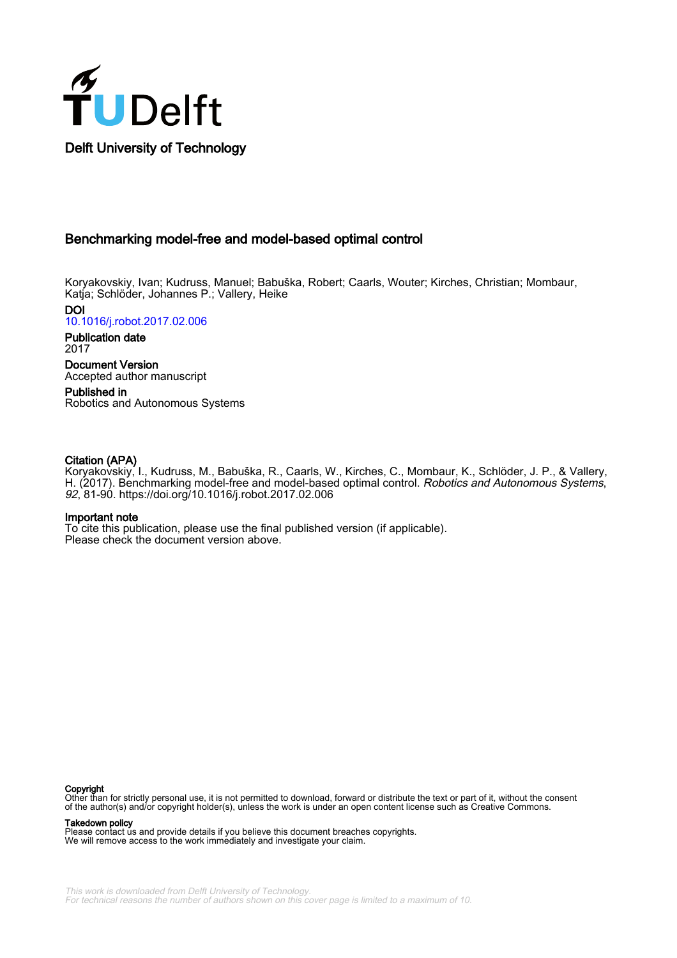

## Benchmarking model-free and model-based optimal control

Koryakovskiy, Ivan; Kudruss, Manuel; Babuška, Robert; Caarls, Wouter; Kirches, Christian; Mombaur, Katja; Schlöder, Johannes P.; Vallery, Heike

DOI [10.1016/j.robot.2017.02.006](https://doi.org/10.1016/j.robot.2017.02.006)

Publication date 2017

Document Version Accepted author manuscript

Published in Robotics and Autonomous Systems

## Citation (APA)

Koryakovskiy, I., Kudruss, M., Babuška, R., Caarls, W., Kirches, C., Mombaur, K., Schlöder, J. P., & Vallery, H. (2017). Benchmarking model-free and model-based optimal control. Robotics and Autonomous Systems, 92, 81-90. <https://doi.org/10.1016/j.robot.2017.02.006>

## Important note

To cite this publication, please use the final published version (if applicable). Please check the document version above.

#### **Copyright**

Other than for strictly personal use, it is not permitted to download, forward or distribute the text or part of it, without the consent of the author(s) and/or copyright holder(s), unless the work is under an open content license such as Creative Commons.

#### Takedown policy

Please contact us and provide details if you believe this document breaches copyrights. We will remove access to the work immediately and investigate your claim.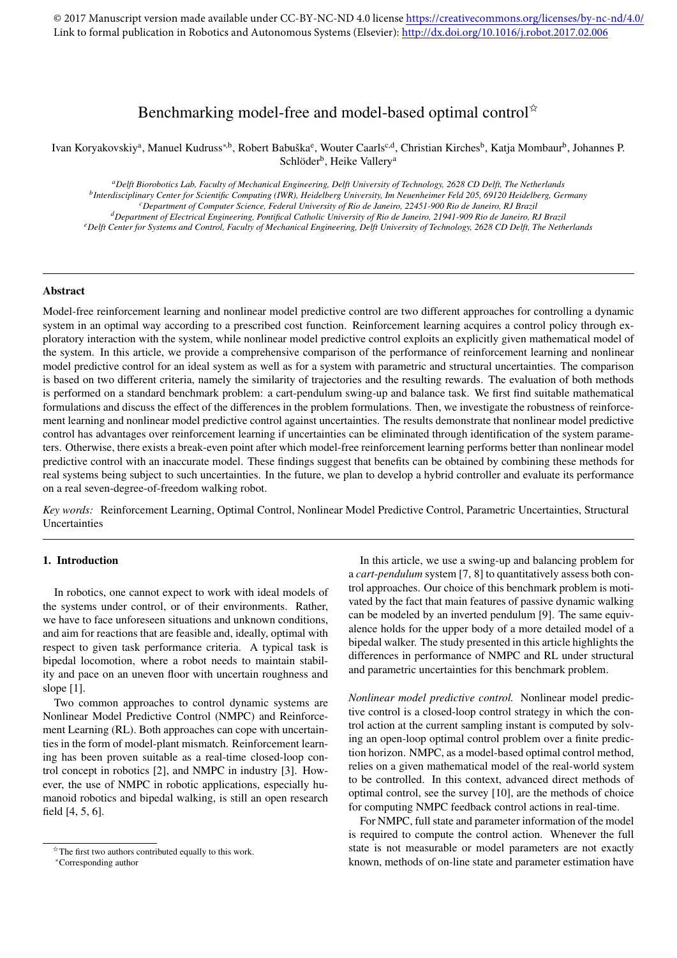# Benchmarking model-free and model-based optimal control<sup>\*</sup>

Ivan Koryakovskiy<sup>a</sup>, Manuel Kudruss\*<sup>,b</sup>, Robert Babuška<sup>e</sup>, Wouter Caarls<sup>c,d</sup>, Christian Kirches<sup>b</sup>, Katja Mombaur<sup>b</sup>, Johannes P. Schlöder<sup>b</sup>, Heike Vallery<sup>a</sup>

*<sup>a</sup>Delft Biorobotics Lab, Faculty of Mechanical Engineering, Delft University of Technology, 2628 CD Delft, The Netherlands b Interdisciplinary Center for Scientific Computing (IWR), Heidelberg University, Im Neuenheimer Feld 205, 69120 Heidelberg, Germany <sup>c</sup>Department of Computer Science, Federal University of Rio de Janeiro, 22451-900 Rio de Janeiro, RJ Brazil <sup>d</sup>Department of Electrical Engineering, Pontifical Catholic University of Rio de Janeiro, 21941-909 Rio de Janeiro, RJ Brazil <sup>e</sup>Delft Center for Systems and Control, Faculty of Mechanical Engineering, Delft University of Technology, 2628 CD Delft, The Netherlands*

## Abstract

Model-free reinforcement learning and nonlinear model predictive control are two different approaches for controlling a dynamic system in an optimal way according to a prescribed cost function. Reinforcement learning acquires a control policy through exploratory interaction with the system, while nonlinear model predictive control exploits an explicitly given mathematical model of the system. In this article, we provide a comprehensive comparison of the performance of reinforcement learning and nonlinear model predictive control for an ideal system as well as for a system with parametric and structural uncertainties. The comparison is based on two different criteria, namely the similarity of trajectories and the resulting rewards. The evaluation of both methods is performed on a standard benchmark problem: a cart-pendulum swing-up and balance task. We first find suitable mathematical formulations and discuss the effect of the differences in the problem formulations. Then, we investigate the robustness of reinforcement learning and nonlinear model predictive control against uncertainties. The results demonstrate that nonlinear model predictive control has advantages over reinforcement learning if uncertainties can be eliminated through identification of the system parameters. Otherwise, there exists a break-even point after which model-free reinforcement learning performs better than nonlinear model predictive control with an inaccurate model. These findings suggest that benefits can be obtained by combining these methods for real systems being subject to such uncertainties. In the future, we plan to develop a hybrid controller and evaluate its performance on a real seven-degree-of-freedom walking robot.

*Key words:* Reinforcement Learning, Optimal Control, Nonlinear Model Predictive Control, Parametric Uncertainties, Structural Uncertainties

#### 1. Introduction

In robotics, one cannot expect to work with ideal models of the systems under control, or of their environments. Rather, we have to face unforeseen situations and unknown conditions, and aim for reactions that are feasible and, ideally, optimal with respect to given task performance criteria. A typical task is bipedal locomotion, where a robot needs to maintain stability and pace on an uneven floor with uncertain roughness and slope [1].

Two common approaches to control dynamic systems are Nonlinear Model Predictive Control (NMPC) and Reinforcement Learning (RL). Both approaches can cope with uncertainties in the form of model-plant mismatch. Reinforcement learning has been proven suitable as a real-time closed-loop control concept in robotics [2], and NMPC in industry [3]. However, the use of NMPC in robotic applications, especially humanoid robotics and bipedal walking, is still an open research field [4, 5, 6].

In this article, we use a swing-up and balancing problem for a *cart-pendulum* system [7, 8] to quantitatively assess both control approaches. Our choice of this benchmark problem is motivated by the fact that main features of passive dynamic walking can be modeled by an inverted pendulum [9]. The same equivalence holds for the upper body of a more detailed model of a bipedal walker. The study presented in this article highlights the differences in performance of NMPC and RL under structural and parametric uncertainties for this benchmark problem.

*Nonlinear model predictive control.* Nonlinear model predictive control is a closed-loop control strategy in which the control action at the current sampling instant is computed by solving an open-loop optimal control problem over a finite prediction horizon. NMPC, as a model-based optimal control method, relies on a given mathematical model of the real-world system to be controlled. In this context, advanced direct methods of optimal control, see the survey [10], are the methods of choice for computing NMPC feedback control actions in real-time.

For NMPC, full state and parameter information of the model is required to compute the control action. Whenever the full state is not measurable or model parameters are not exactly known, methods of on-line state and parameter estimation have

 $\overrightarrow{r}$ The first two authors contributed equally to this work.

<sup>∗</sup>Corresponding author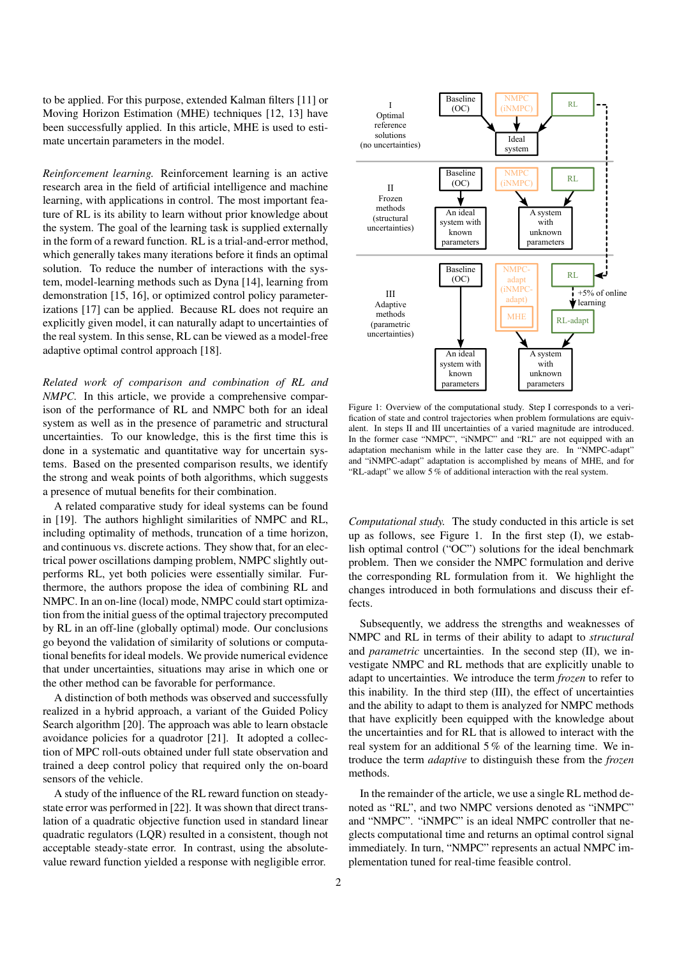to be applied. For this purpose, extended Kalman filters [11] or Moving Horizon Estimation (MHE) techniques [12, 13] have been successfully applied. In this article, MHE is used to estimate uncertain parameters in the model.

*Reinforcement learning.* Reinforcement learning is an active research area in the field of artificial intelligence and machine learning, with applications in control. The most important feature of RL is its ability to learn without prior knowledge about the system. The goal of the learning task is supplied externally in the form of a reward function. RL is a trial-and-error method, which generally takes many iterations before it finds an optimal solution. To reduce the number of interactions with the system, model-learning methods such as Dyna [14], learning from demonstration [15, 16], or optimized control policy parameterizations [17] can be applied. Because RL does not require an explicitly given model, it can naturally adapt to uncertainties of the real system. In this sense, RL can be viewed as a model-free adaptive optimal control approach [18].

*Related work of comparison and combination of RL and NMPC.* In this article, we provide a comprehensive comparison of the performance of RL and NMPC both for an ideal system as well as in the presence of parametric and structural uncertainties. To our knowledge, this is the first time this is done in a systematic and quantitative way for uncertain systems. Based on the presented comparison results, we identify the strong and weak points of both algorithms, which suggests a presence of mutual benefits for their combination.

A related comparative study for ideal systems can be found in [19]. The authors highlight similarities of NMPC and RL, including optimality of methods, truncation of a time horizon, and continuous vs. discrete actions. They show that, for an electrical power oscillations damping problem, NMPC slightly outperforms RL, yet both policies were essentially similar. Furthermore, the authors propose the idea of combining RL and NMPC. In an on-line (local) mode, NMPC could start optimization from the initial guess of the optimal trajectory precomputed by RL in an off-line (globally optimal) mode. Our conclusions go beyond the validation of similarity of solutions or computational benefits for ideal models. We provide numerical evidence that under uncertainties, situations may arise in which one or the other method can be favorable for performance.

A distinction of both methods was observed and successfully realized in a hybrid approach, a variant of the Guided Policy Search algorithm [20]. The approach was able to learn obstacle avoidance policies for a quadrotor [21]. It adopted a collection of MPC roll-outs obtained under full state observation and trained a deep control policy that required only the on-board sensors of the vehicle.

A study of the influence of the RL reward function on steadystate error was performed in [22]. It was shown that direct translation of a quadratic objective function used in standard linear quadratic regulators (LQR) resulted in a consistent, though not acceptable steady-state error. In contrast, using the absolutevalue reward function yielded a response with negligible error.



Figure 1: Overview of the computational study. Step I corresponds to a verification of state and control trajectories when problem formulations are equivalent. In steps II and III uncertainties of a varied magnitude are introduced. In the former case "NMPC", "iNMPC" and "RL" are not equipped with an adaptation mechanism while in the latter case they are. In "NMPC-adapt" and "iNMPC-adapt" adaptation is accomplished by means of MHE, and for "RL-adapt" we allow 5 % of additional interaction with the real system.

*Computational study.* The study conducted in this article is set up as follows, see Figure 1. In the first step (I), we establish optimal control ("OC") solutions for the ideal benchmark problem. Then we consider the NMPC formulation and derive the corresponding RL formulation from it. We highlight the changes introduced in both formulations and discuss their effects.

Subsequently, we address the strengths and weaknesses of NMPC and RL in terms of their ability to adapt to *structural* and *parametric* uncertainties. In the second step (II), we investigate NMPC and RL methods that are explicitly unable to adapt to uncertainties. We introduce the term *frozen* to refer to this inability. In the third step (III), the effect of uncertainties and the ability to adapt to them is analyzed for NMPC methods that have explicitly been equipped with the knowledge about the uncertainties and for RL that is allowed to interact with the real system for an additional 5 % of the learning time. We introduce the term *adaptive* to distinguish these from the *frozen* methods.

In the remainder of the article, we use a single RL method denoted as "RL", and two NMPC versions denoted as "iNMPC" and "NMPC". "iNMPC" is an ideal NMPC controller that neglects computational time and returns an optimal control signal immediately. In turn, "NMPC" represents an actual NMPC implementation tuned for real-time feasible control.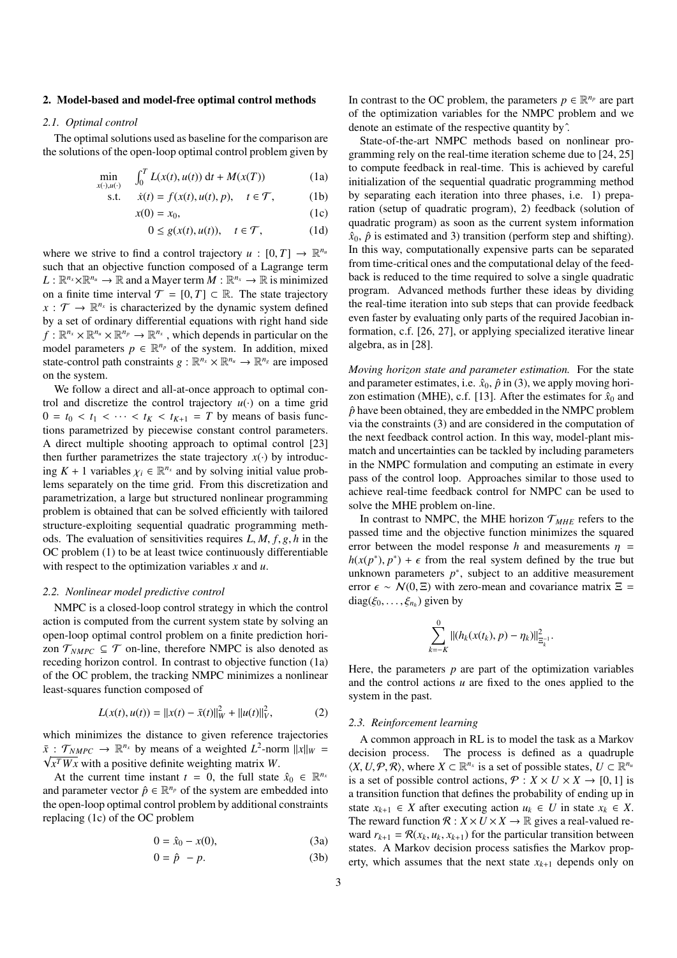#### 2. Model-based and model-free optimal control methods

#### *2.1. Optimal control*

The optimal solutions used as baseline for the comparison are the solutions of the open-loop optimal control problem given by

$$
\min_{x(\cdot),u(\cdot)} \quad \int_0^T L(x(t), u(t)) \, \mathrm{d}t + M(x(T)) \tag{1a}
$$

s.t. 
$$
\dot{x}(t) = f(x(t), u(t), p), \quad t \in \mathcal{T},
$$
 (1b)

$$
x(0) = x_0,\tag{1c}
$$

$$
0 \le g(x(t), u(t)), \quad t \in \mathcal{T}, \tag{1d}
$$

where we strive to find a control trajectory  $u : [0, T] \to \mathbb{R}^{n_u}$ <br>such that an objective function composed of a Lagrange term such that an objective function composed of a Lagrange term  $L: \mathbb{R}^{n_x} \times \mathbb{R}^{n_u} \to \mathbb{R}$  and a Mayer term  $M: \mathbb{R}^{n_x} \to \mathbb{R}$  is minimized on a finite time interval  $T = [0, T] \subset \mathbb{R}$ . The state trajectory  $x : \mathcal{T} \to \mathbb{R}^{n_x}$  is characterized by the dynamic system defined by a set of ordinary differential equations with right hand side  $f: \mathbb{R}^{n_x} \times \mathbb{R}^{n_u} \times \mathbb{R}^{n_p} \to \mathbb{R}^{n_x}$ , which depends in particular on the model parameters  $p \in \mathbb{R}^{n_p}$  of the system. In addition, mixed state-control path constraints  $g: \mathbb{R}^{n_x} \times \mathbb{R}^{n_u} \to \mathbb{R}^{n_g}$  are imposed on the system.

We follow a direct and all-at-once approach to optimal control and discretize the control trajectory  $u(\cdot)$  on a time grid  $0 = t_0 < t_1 < \cdots < t_K < t_{K+1} = T$  by means of basis functions parametrized by piecewise constant control parameters. A direct multiple shooting approach to optimal control [23] then further parametrizes the state trajectory  $x(\cdot)$  by introducing  $K + 1$  variables  $\chi_i \in \mathbb{R}^{n_x}$  and by solving initial value prob-<br>lems separately on the time grid. From this discretization and lems separately on the time grid. From this discretization and parametrization, a large but structured nonlinear programming problem is obtained that can be solved efficiently with tailored structure-exploiting sequential quadratic programming methods. The evaluation of sensitivities requires *<sup>L</sup>*, *<sup>M</sup>*, *<sup>f</sup>*, *<sup>g</sup>*, *<sup>h</sup>* in the OC problem (1) to be at least twice continuously differentiable with respect to the optimization variables *x* and *u*.

#### *2.2. Nonlinear model predictive control*

NMPC is a closed-loop control strategy in which the control action is computed from the current system state by solving an open-loop optimal control problem on a finite prediction horizon  $\mathcal{T}_{NMPC} \subseteq \mathcal{T}$  on-line, therefore NMPC is also denoted as receding horizon control. In contrast to objective function (1a) of the OC problem, the tracking NMPC minimizes a nonlinear least-squares function composed of

$$
L(x(t), u(t)) = ||x(t) - \bar{x}(t)||_W^2 + ||u(t)||_V^2,
$$
 (2)

which minimizes the distance to given reference trajectories  $\bar{x}$  :  $\mathcal{T}_{NMPC}$   $\rightarrow \mathbb{R}^{n_x}$  by means of a weighted  $L^2$ -norm  $||x||_W$  = *x <sup>T</sup>W x* with a positive definite weighting matrix *W*.

At the current time instant  $t = 0$ , the full state  $\hat{x}_0 \in \mathbb{R}^{n_x}$ and parameter vector  $\hat{p} \in \mathbb{R}^{n_p}$  of the system are embedded into the open-loop optimal control problem by additional constraints replacing (1c) of the OC problem

$$
0 = \hat{x}_0 - x(0),
$$
 (3a)

$$
0 = \hat{p} - p. \tag{3b}
$$

In contrast to the OC problem, the parameters  $p \in \mathbb{R}^{n_p}$  are part of the optimization variables for the NMPC problem and we denote an estimate of the respective quantity byˆ.

State-of-the-art NMPC methods based on nonlinear programming rely on the real-time iteration scheme due to [24, 25] to compute feedback in real-time. This is achieved by careful initialization of the sequential quadratic programming method by separating each iteration into three phases, i.e. 1) preparation (setup of quadratic program), 2) feedback (solution of quadratic program) as soon as the current system information  $\hat{x}_0$ ,  $\hat{p}$  is estimated and 3) transition (perform step and shifting). In this way, computationally expensive parts can be separated from time-critical ones and the computational delay of the feedback is reduced to the time required to solve a single quadratic program. Advanced methods further these ideas by dividing the real-time iteration into sub steps that can provide feedback even faster by evaluating only parts of the required Jacobian information, c.f. [26, 27], or applying specialized iterative linear algebra, as in [28].

*Moving horizon state and parameter estimation.* For the state and parameter estimates, i.e.  $\hat{x}_0$ ,  $\hat{p}$  in (3), we apply moving horizon estimation (MHE), c.f. [13]. After the estimates for  $\hat{x}_0$  and  $\hat{p}$  have been obtained, they are embedded in the NMPC problem via the constraints (3) and are considered in the computation of the next feedback control action. In this way, model-plant mismatch and uncertainties can be tackled by including parameters in the NMPC formulation and computing an estimate in every pass of the control loop. Approaches similar to those used to achieve real-time feedback control for NMPC can be used to solve the MHE problem on-line.

In contrast to NMPC, the MHE horizon  $T<sub>MHE</sub>$  refers to the passed time and the objective function minimizes the squared error between the model response *h* and measurements  $\eta$  =  $h(x(p^*), p^*) + \epsilon$  from the real system defined by the true but<br>unknown parameters  $p^*$ , subject to an additive measurement unknown parameters  $p^*$ , subject to an additive measurement error  $\epsilon \sim N(0, \Xi)$  with zero-mean and covariance matrix  $\Xi$  =  $diag(\xi_0, \ldots, \xi_{n_h})$  given by

$$
\sum_{k=-K}^{0}||(h_k(x(t_k),p)-\eta_k)||_{\Xi_k^{-1}}^2.
$$

Here, the parameters  $p$  are part of the optimization variables and the control actions *u* are fixed to the ones applied to the system in the past.

#### *2.3. Reinforcement learning*

A common approach in RL is to model the task as a Markov decision process. The process is defined as a quadruple  $\langle X, U, \mathcal{P}, \mathcal{R} \rangle$ , where  $X \subset \mathbb{R}^{n_x}$  is a set of possible states,  $U \subset \mathbb{R}^{n_u}$ <br>is a set of possible control actions  $\mathcal{P} : X \times U \times X \to [0, 1]$  is is a set of possible control actions,  $P: X \times U \times X \rightarrow [0, 1]$  is a transition function that defines the probability of ending up in state  $x_{k+1} \in X$  after executing action  $u_k \in U$  in state  $x_k \in X$ . The reward function  $\mathcal{R}: X \times U \times X \rightarrow \mathbb{R}$  gives a real-valued reward  $r_{k+1} = \mathcal{R}(x_k, u_k, x_{k+1})$  for the particular transition between states. A Markov decision process satisfies the Markov property, which assumes that the next state  $x_{k+1}$  depends only on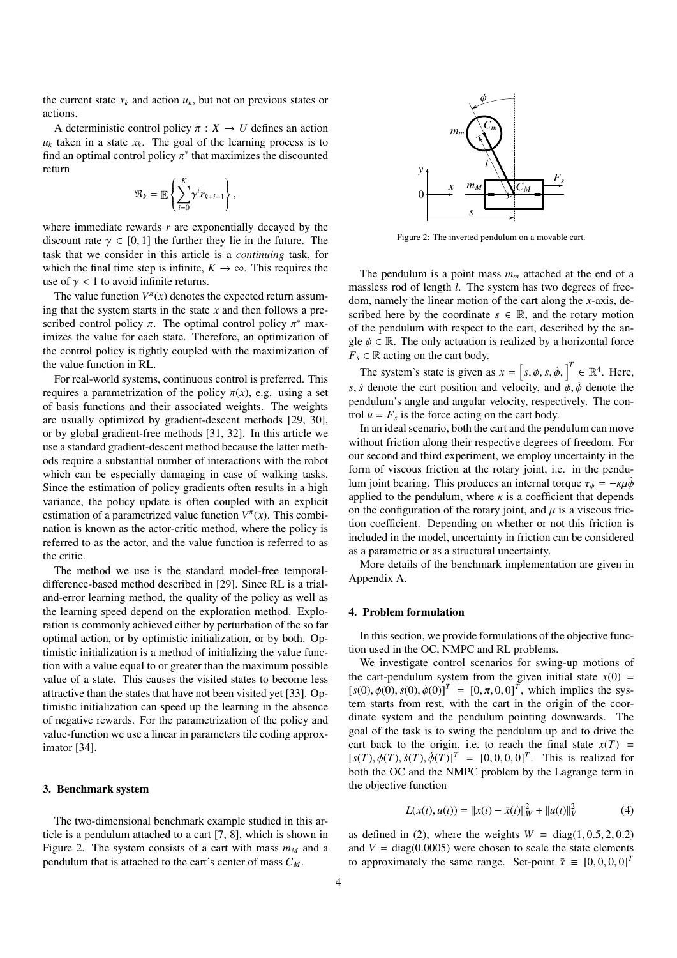the current state  $x_k$  and action  $u_k$ , but not on previous states or actions.

A deterministic control policy  $\pi : X \to U$  defines an action  $u_k$  taken in a state  $x_k$ . The goal of the learning process is to find an optimal control policy  $\pi^*$  that maximizes the discounted return return

$$
\mathfrak{R}_k = \mathbb{E}\left\{\sum_{i=0}^K \gamma^i r_{k+i+1}\right\}
$$

,

where immediate rewards *r* are exponentially decayed by the discount rate  $\gamma \in [0, 1]$  the further they lie in the future. The task that we consider in this article is a *continuing* task, for which the final time step is infinite,  $K \to \infty$ . This requires the use of  $\gamma$  < 1 to avoid infinite returns.

The value function  $V^{\pi}(x)$  denotes the expected return assuming that the system starts in the state *x* and then follows a prescribed control policy  $\pi$ . The optimal control policy  $\pi^*$  max-<br>imizes the value for each state. Therefore, an optimization of imizes the value for each state. Therefore, an optimization of the control policy is tightly coupled with the maximization of the value function in RL.

For real-world systems, continuous control is preferred. This requires a parametrization of the policy  $\pi(x)$ , e.g. using a set of basis functions and their associated weights. The weights are usually optimized by gradient-descent methods [29, 30], or by global gradient-free methods [31, 32]. In this article we use a standard gradient-descent method because the latter methods require a substantial number of interactions with the robot which can be especially damaging in case of walking tasks. Since the estimation of policy gradients often results in a high variance, the policy update is often coupled with an explicit estimation of a parametrized value function  $V^{\pi}(x)$ . This combination is known as the actor-critic method, where the policy is referred to as the actor, and the value function is referred to as the critic.

The method we use is the standard model-free temporaldifference-based method described in [29]. Since RL is a trialand-error learning method, the quality of the policy as well as the learning speed depend on the exploration method. Exploration is commonly achieved either by perturbation of the so far optimal action, or by optimistic initialization, or by both. Optimistic initialization is a method of initializing the value function with a value equal to or greater than the maximum possible value of a state. This causes the visited states to become less attractive than the states that have not been visited yet [33]. Optimistic initialization can speed up the learning in the absence of negative rewards. For the parametrization of the policy and value-function we use a linear in parameters tile coding approximator [34].

#### 3. Benchmark system

The two-dimensional benchmark example studied in this article is a pendulum attached to a cart [7, 8], which is shown in Figure 2. The system consists of a cart with mass  $m<sub>M</sub>$  and a pendulum that is attached to the cart's center of mass *CM*.



Figure 2: The inverted pendulum on a movable cart.

The pendulum is a point mass *m<sup>m</sup>* attached at the end of a massless rod of length *l*. The system has two degrees of freedom, namely the linear motion of the cart along the *x*-axis, described here by the coordinate  $s \in \mathbb{R}$ , and the rotary motion of the pendulum with respect to the cart, described by the angle  $\phi \in \mathbb{R}$ . The only actuation is realized by a horizontal force  $F_s \in \mathbb{R}$  acting on the cart body.

The system's state is given as  $x = [s, \phi, \dot{s}, \dot{\phi},]^T \in \mathbb{R}^4$ . Here, *s*, *s*<sup> $\dot{b}$ </sup> denote the cart position and velocity, and  $\dot{\phi}$ ,  $\dot{\phi}$  denote the pendulum's angle and angular velocity, respectively. The control  $u = F_s$  is the force acting on the cart body.

In an ideal scenario, both the cart and the pendulum can move without friction along their respective degrees of freedom. For our second and third experiment, we employ uncertainty in the form of viscous friction at the rotary joint, i.e. in the pendulum joint bearing. This produces an internal torque  $\tau_{\phi} = -\kappa \mu \dot{\phi}$ applied to the pendulum, where  $\kappa$  is a coefficient that depends on the configuration of the rotary joint, and  $\mu$  is a viscous friction coefficient. Depending on whether or not this friction is included in the model, uncertainty in friction can be considered as a parametric or as a structural uncertainty.

More details of the benchmark implementation are given in Appendix A.

#### 4. Problem formulation

In this section, we provide formulations of the objective function used in the OC, NMPC and RL problems.

We investigate control scenarios for swing-up motions of the cart-pendulum system from the given initial state  $x(0)$  =  $[s(0), \phi(0), \dot{s}(0), \dot{\phi}(0)]^T = [0, \pi, 0, 0]^T$ , which implies the sys-<br>tem starts from rest, with the cart in the origin of the coortem starts from rest, with the cart in the origin of the coordinate system and the pendulum pointing downwards. The goal of the task is to swing the pendulum up and to drive the cart back to the origin, i.e. to reach the final state  $x(T)$  =  $[s(T), \phi(T), \dot{s}(T), \dot{\phi}(T)]^T = [0, 0, 0, 0]^T$ . This is realized for hoth the OC and the NMPC problem by the Lagrange term in both the OC and the NMPC problem by the Lagrange term in the objective function

$$
L(x(t), u(t)) = ||x(t) - \bar{x}(t)||_W^2 + ||u(t)||_V^2
$$
 (4)

as defined in (2), where the weights  $W = diag(1, 0.5, 2, 0.2)$ and  $V = diag(0.0005)$  were chosen to scale the state elements to approximately the same range. Set-point  $\bar{x} \equiv [0, 0, 0, 0]^T$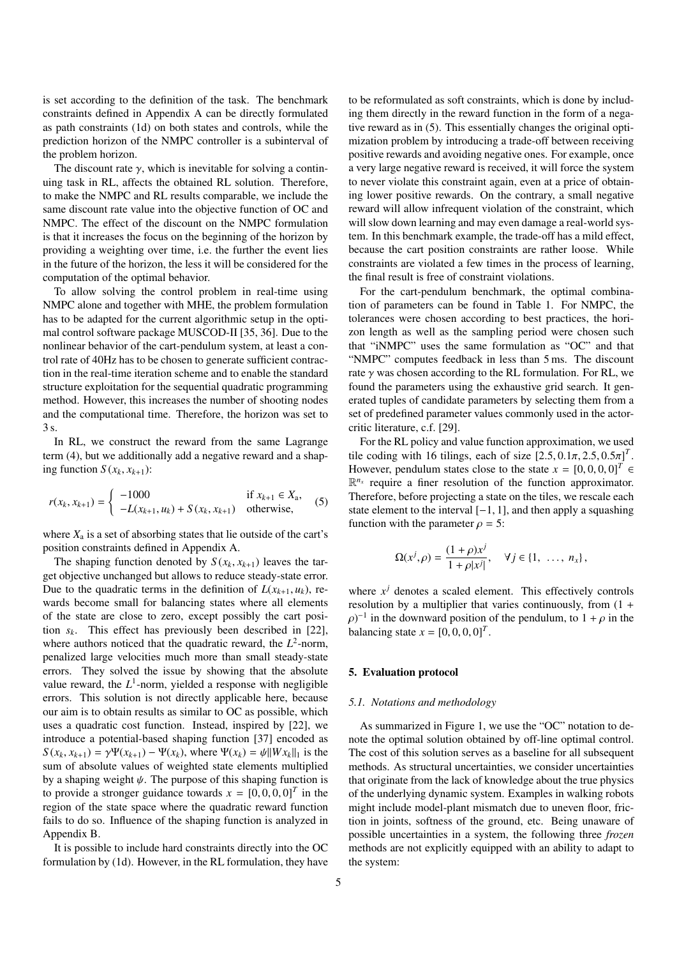is set according to the definition of the task. The benchmark constraints defined in Appendix A can be directly formulated as path constraints (1d) on both states and controls, while the prediction horizon of the NMPC controller is a subinterval of the problem horizon.

The discount rate  $\gamma$ , which is inevitable for solving a continuing task in RL, affects the obtained RL solution. Therefore, to make the NMPC and RL results comparable, we include the same discount rate value into the objective function of OC and NMPC. The effect of the discount on the NMPC formulation is that it increases the focus on the beginning of the horizon by providing a weighting over time, i.e. the further the event lies in the future of the horizon, the less it will be considered for the computation of the optimal behavior.

To allow solving the control problem in real-time using NMPC alone and together with MHE, the problem formulation has to be adapted for the current algorithmic setup in the optimal control software package MUSCOD-II [35, 36]. Due to the nonlinear behavior of the cart-pendulum system, at least a control rate of 40Hz has to be chosen to generate sufficient contraction in the real-time iteration scheme and to enable the standard structure exploitation for the sequential quadratic programming method. However, this increases the number of shooting nodes and the computational time. Therefore, the horizon was set to 3 s.

In RL, we construct the reward from the same Lagrange term (4), but we additionally add a negative reward and a shaping function  $S(x_k, x_{k+1})$ :

$$
r(x_k, x_{k+1}) = \begin{cases} -1000 & \text{if } x_{k+1} \in X_a, \\ -L(x_{k+1}, u_k) + S(x_k, x_{k+1}) & \text{otherwise,} \end{cases}
$$
 (5)

where  $X_a$  is a set of absorbing states that lie outside of the cart's position constraints defined in Appendix A.

The shaping function denoted by  $S(x_k, x_{k+1})$  leaves the target objective unchanged but allows to reduce steady-state error. Due to the quadratic terms in the definition of  $L(x_{k+1}, u_k)$ , rewards become small for balancing states where all elements of the state are close to zero, except possibly the cart position *sk*. This effect has previously been described in [22], where authors noticed that the quadratic reward, the  $L^2$ -norm, penalized large velocities much more than small steady-state errors. They solved the issue by showing that the absolute value reward, the  $L^1$ -norm, yielded a response with negligible errors. This solution is not directly applicable here, because our aim is to obtain results as similar to OC as possible, which uses a quadratic cost function. Instead, inspired by [22], we introduce a potential-based shaping function [37] encoded as *S* ( $x_k$ ,  $x_{k+1}$ ) =  $\gamma \Psi(x_{k+1}) - \Psi(x_k)$ , where  $\Psi(x_k) = \psi \|Wx_k\|_1$  is the sum of absolute values of weighted state elements multiplied by a shaping weight  $\psi$ . The purpose of this shaping function is to provide a stronger guidance towards  $x = [0, 0, 0, 0]^T$  in the region of the state space where the quadratic reward function region of the state space where the quadratic reward function fails to do so. Influence of the shaping function is analyzed in Appendix B.

It is possible to include hard constraints directly into the OC formulation by (1d). However, in the RL formulation, they have to be reformulated as soft constraints, which is done by including them directly in the reward function in the form of a negative reward as in (5). This essentially changes the original optimization problem by introducing a trade-off between receiving positive rewards and avoiding negative ones. For example, once a very large negative reward is received, it will force the system to never violate this constraint again, even at a price of obtaining lower positive rewards. On the contrary, a small negative reward will allow infrequent violation of the constraint, which will slow down learning and may even damage a real-world system. In this benchmark example, the trade-off has a mild effect, because the cart position constraints are rather loose. While constraints are violated a few times in the process of learning, the final result is free of constraint violations.

For the cart-pendulum benchmark, the optimal combination of parameters can be found in Table 1. For NMPC, the tolerances were chosen according to best practices, the horizon length as well as the sampling period were chosen such that "iNMPC" uses the same formulation as "OC" and that "NMPC" computes feedback in less than 5 ms. The discount rate  $\gamma$  was chosen according to the RL formulation. For RL, we found the parameters using the exhaustive grid search. It generated tuples of candidate parameters by selecting them from a set of predefined parameter values commonly used in the actorcritic literature, c.f. [29].

For the RL policy and value function approximation, we used tile coding with 16 tilings, each of size  $[2.5, 0.1\pi, 2.5, 0.5\pi]^T$ .<br>However, pendulum states close to the state  $x = [0, 0, 0, 0]^T$ However, pendulum states close to the state  $x = [0, 0, 0, 0]^T \in \mathbb{R}^{n_x}$  require a finer resolution of the function approximator  $\mathbb{R}^{n_x}$  require a finer resolution of the function approximator. Therefore, before projecting a state on the tiles, we rescale each state element to the interval [−1, 1], and then apply a squashing function with the parameter  $\rho = 5$ :

$$
\Omega(x^{j}, \rho) = \frac{(1+\rho)x^{j}}{1+\rho|x^{j}|}, \quad \forall j \in \{1, ..., n_{x}\},
$$

where  $x^j$  denotes a scaled element. This effectively controls resolution by a multiplier that varies continuously, from (1 +  $\rho$ )<sup>-1</sup> in the downward position of the pendulum, to  $1 + \rho$  in the halancing state  $x = [0, 0, 0, 0]^T$ balancing state  $x = [0, 0, 0, 0]^T$ .

## 5. Evaluation protocol

#### *5.1. Notations and methodology*

As summarized in Figure 1, we use the "OC" notation to denote the optimal solution obtained by off-line optimal control. The cost of this solution serves as a baseline for all subsequent methods. As structural uncertainties, we consider uncertainties that originate from the lack of knowledge about the true physics of the underlying dynamic system. Examples in walking robots might include model-plant mismatch due to uneven floor, friction in joints, softness of the ground, etc. Being unaware of possible uncertainties in a system, the following three *frozen* methods are not explicitly equipped with an ability to adapt to the system: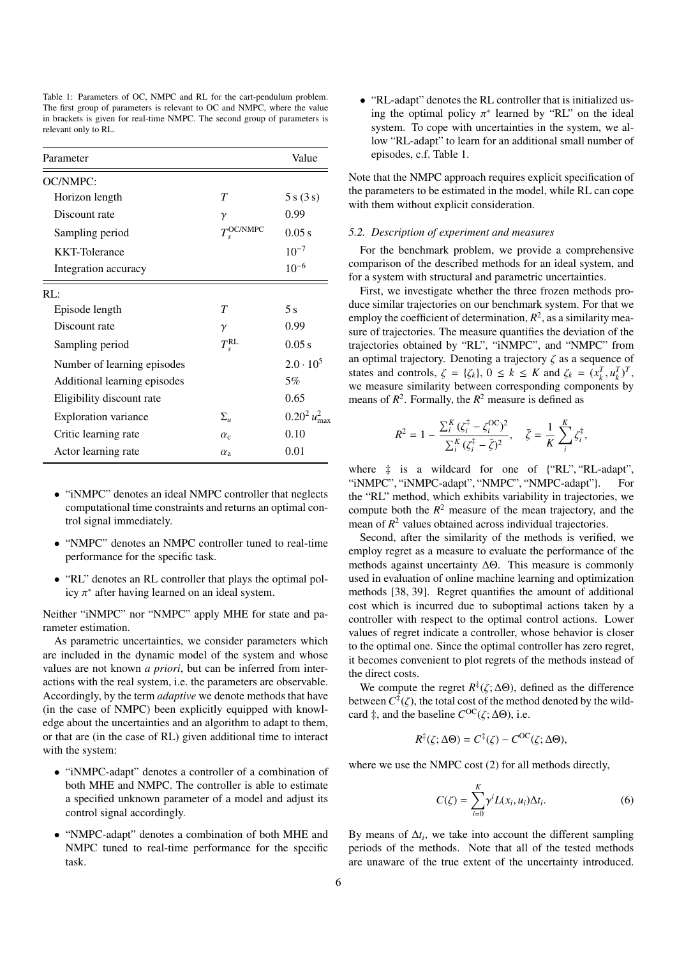| Table 1: Parameters of OC, NMPC and RL for the cart-pendulum problem.      |  |
|----------------------------------------------------------------------------|--|
| The first group of parameters is relevant to OC and NMPC, where the value  |  |
| in brackets is given for real-time NMPC. The second group of parameters is |  |
| relevant only to RL.                                                       |  |

| Parameter                    |                     | Value                     |
|------------------------------|---------------------|---------------------------|
| OC/NMPC:                     |                     |                           |
| Horizon length               | $\tau$              | 5 s (3 s)                 |
| Discount rate                | $\gamma$            | 0.99                      |
| Sampling period              | $T_s^{\rm OC/NMPC}$ | 0.05 s                    |
| <b>KKT-Tolerance</b>         |                     | $10^{-7}$                 |
| Integration accuracy         |                     | $10^{-6}$                 |
| RI:                          |                     |                           |
| Episode length               | T                   | 5s                        |
| Discount rate                | $\gamma$            | 0.99                      |
| Sampling period              | $T_{s}^{\text{RL}}$ | 0.05 s                    |
| Number of learning episodes  |                     | $2.0 \cdot 10^5$          |
| Additional learning episodes |                     | 5%                        |
| Eligibility discount rate    |                     | 0.65                      |
| <b>Exploration</b> variance  | $\Sigma_u$          | $0.20^2 u_{\text{max}}^2$ |
| Critic learning rate         | $\alpha_c$          | 0.10                      |
| Actor learning rate          | $\alpha_{\rm a}$    | 0.01                      |

- "iNMPC" denotes an ideal NMPC controller that neglects computational time constraints and returns an optimal control signal immediately.
- "NMPC" denotes an NMPC controller tuned to real-time performance for the specific task.
- "RL" denotes an RL controller that plays the optimal policy  $\pi^*$  after having learned on an ideal system.

Neither "iNMPC" nor "NMPC" apply MHE for state and parameter estimation.

As parametric uncertainties, we consider parameters which are included in the dynamic model of the system and whose values are not known *a priori*, but can be inferred from interactions with the real system, i.e. the parameters are observable. Accordingly, by the term *adaptive* we denote methods that have (in the case of NMPC) been explicitly equipped with knowledge about the uncertainties and an algorithm to adapt to them, or that are (in the case of RL) given additional time to interact with the system:

- "iNMPC-adapt" denotes a controller of a combination of both MHE and NMPC. The controller is able to estimate a specified unknown parameter of a model and adjust its control signal accordingly.
- "NMPC-adapt" denotes a combination of both MHE and NMPC tuned to real-time performance for the specific task.

• "RL-adapt" denotes the RL controller that is initialized using the optimal policy  $\pi^*$  learned by "RL" on the ideal<br>system. To cope with uncertainties in the system, we alsystem. To cope with uncertainties in the system, we allow "RL-adapt" to learn for an additional small number of episodes, c.f. Table 1.

Note that the NMPC approach requires explicit specification of the parameters to be estimated in the model, while RL can cope with them without explicit consideration.

#### *5.2. Description of experiment and measures*

For the benchmark problem, we provide a comprehensive comparison of the described methods for an ideal system, and for a system with structural and parametric uncertainties.

First, we investigate whether the three frozen methods produce similar trajectories on our benchmark system. For that we employ the coefficient of determination,  $R^2$ , as a similarity measure of trajectories. The measure quantifies the deviation of the trajectories obtained by "RL", "iNMPC", and "NMPC" from an optimal trajectory. Denoting a trajectory  $\zeta$  as a sequence of states and controls,  $\zeta = {\zeta_k}$ ,  $0 \le k \le K$  and  $\zeta_k = (x_k^T, u_k^T)^T$ , we measure similarity between corresponding components by we measure similarity between corresponding components by means of  $R^2$ . Formally, the  $R^2$  measure is defined as

$$
R^{2} = 1 - \frac{\sum_{i}^{K}(\zeta_{i}^{\ddagger} - \zeta_{i}^{OC})^{2}}{\sum_{i}^{K}(\zeta_{i}^{\ddagger} - \bar{\zeta})^{2}}, \quad \bar{\zeta} = \frac{1}{K} \sum_{i}^{K} \zeta_{i}^{\ddagger},
$$

where  $\ddagger$  is a wildcard for one of {"RL", "RL-adapt", "NMPC", "NMPC", "NMPC-adapt"}. For "iNMPC", "iNMPC-adapt", "NMPC", "NMPC-adapt"}. the "RL" method, which exhibits variability in trajectories, we compute both the  $R^2$  measure of the mean trajectory, and the mean of  $R<sup>2</sup>$  values obtained across individual trajectories.

Second, after the similarity of the methods is verified, we employ regret as a measure to evaluate the performance of the methods against uncertainty ∆Θ. This measure is commonly used in evaluation of online machine learning and optimization methods [38, 39]. Regret quantifies the amount of additional cost which is incurred due to suboptimal actions taken by a controller with respect to the optimal control actions. Lower values of regret indicate a controller, whose behavior is closer to the optimal one. Since the optimal controller has zero regret, it becomes convenient to plot regrets of the methods instead of the direct costs.

We compute the regret  $R^{\ddagger}(\zeta; \Delta\Theta)$ , defined as the difference<br>tween  $C^{\ddagger}(\zeta)$  the total cost of the method denoted by the wildbetween  $C^{\ddagger}(\zeta)$ , the total cost of the method denoted by the wild-<br>card  $\ddagger$  and the baseline  $C^{OC}(\zeta, \Delta \Theta)$  i.e. card  $\ddagger$ , and the baseline  $C^{OC}(\zeta; \Delta \Theta)$ , i.e.

$$
R^{\ddagger}(\zeta; \Delta \Theta) = C^{\ddagger}(\zeta) - C^{\rm OC}(\zeta; \Delta \Theta),
$$

where we use the NMPC cost (2) for all methods directly,

$$
C(\zeta) = \sum_{i=0}^{K} \gamma^{i} L(x_i, u_i) \Delta t_i.
$$
 (6)

By means of  $\Delta t_i$ , we take into account the different sampling periods of the methods. Note that all of the tested methods are unaware of the true extent of the uncertainty introduced.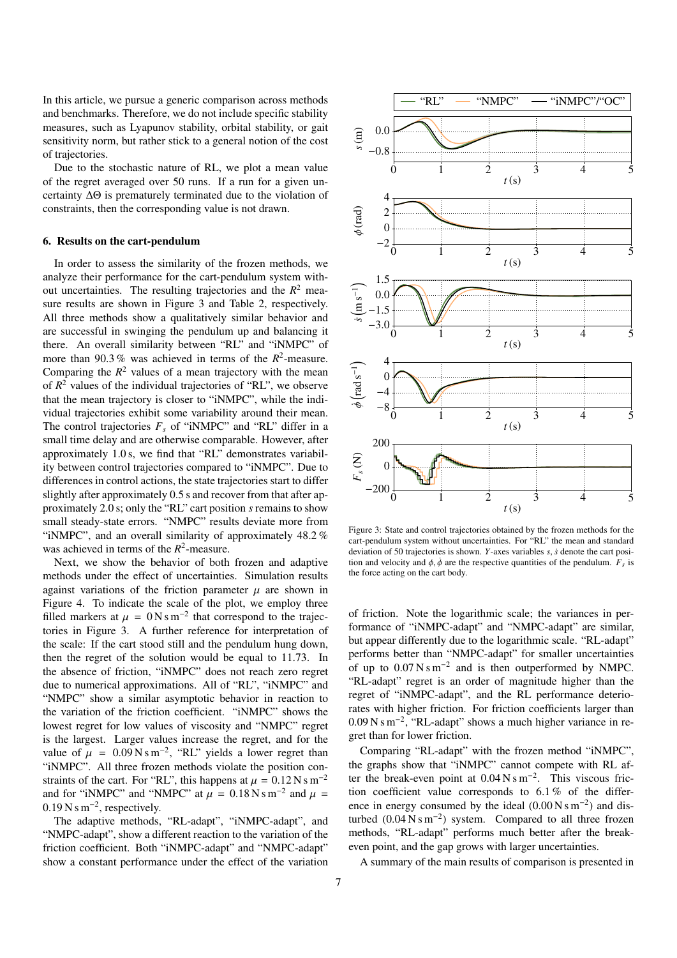In this article, we pursue a generic comparison across methods and benchmarks. Therefore, we do not include specific stability measures, such as Lyapunov stability, orbital stability, or gait sensitivity norm, but rather stick to a general notion of the cost of trajectories.

Due to the stochastic nature of RL, we plot a mean value of the regret averaged over 50 runs. If a run for a given uncertainty ∆Θ is prematurely terminated due to the violation of constraints, then the corresponding value is not drawn.

#### 6. Results on the cart-pendulum

In order to assess the similarity of the frozen methods, we analyze their performance for the cart-pendulum system without uncertainties. The resulting trajectories and the  $R^2$  measure results are shown in Figure 3 and Table 2, respectively. All three methods show a qualitatively similar behavior and are successful in swinging the pendulum up and balancing it there. An overall similarity between "RL" and "iNMPC" of more than 90.3 % was achieved in terms of the  $R^2$ -measure.<br>Comparing the  $R^2$  values of a mean trajectory with the mean Comparing the  $R^2$  values of a mean trajectory with the mean of  $R^2$  values of the individual trajectories of "RL", we observe that the mean trajectory is closer to "iNMPC", while the individual trajectories exhibit some variability around their mean. The control trajectories  $F_s$  of "iNMPC" and "RL" differ in a small time delay and are otherwise comparable. However, after approximately 1.0 s, we find that "RL" demonstrates variability between control trajectories compared to "iNMPC". Due to differences in control actions, the state trajectories start to differ slightly after approximately 0.5 s and recover from that after approximately 2.0 s; only the "RL" cart position *s* remains to show small steady-state errors. "NMPC" results deviate more from "iNMPC", and an overall similarity of approximately <sup>48</sup>.<sup>2</sup> % was achieved in terms of the  $R^2$ -measure.

Next, we show the behavior of both frozen and adaptive methods under the effect of uncertainties. Simulation results against variations of the friction parameter  $\mu$  are shown in Figure 4. To indicate the scale of the plot, we employ three filled markers at  $\mu = 0$  N s m<sup>-2</sup> that correspond to the trajectories in Figure 3. A further reference for interpretation of tories in Figure 3. A further reference for interpretation of the scale: If the cart stood still and the pendulum hung down, then the regret of the solution would be equal to <sup>11</sup>.73. In the absence of friction, "iNMPC" does not reach zero regret due to numerical approximations. All of "RL", "iNMPC" and "NMPC" show a similar asymptotic behavior in reaction to the variation of the friction coefficient. "iNMPC" shows the lowest regret for low values of viscosity and "NMPC" regret is the largest. Larger values increase the regret, and for the value of  $\mu = 0.09 \text{ N s m}^{-2}$ , "RL" yields a lower regret than "NMPC". All three frozen methods violate the position con-"iNMPC". All three frozen methods violate the position constraints of the cart. For "RL", this happens at  $\mu = 0.12 \text{ N s m}^{-2}$ and for "iNMPC" and "NMPC" at  $\mu = 0.18 \text{ N s m}^{-2}$  and  $\mu = 0.19 \text{ N s m}^{-2}$  respectively  $0.19 \text{ N s m}^{-2}$ , respectively.<br>The adaptive methods

The adaptive methods, "RL-adapt", "iNMPC-adapt", and "NMPC-adapt", show a different reaction to the variation of the friction coefficient. Both "iNMPC-adapt" and "NMPC-adapt" show a constant performance under the effect of the variation



Figure 3: State and control trajectories obtained by the frozen methods for the cart-pendulum system without uncertainties. For "RL" the mean and standard deviation of 50 trajectories is shown. *<sup>Y</sup>*-axes variables *<sup>s</sup>*, *<sup>s</sup>*˙ denote the cart position and velocity and  $\phi$ ,  $\dot{\phi}$  are the respective quantities of the pendulum.  $F_s$  is<br>the force acting on the cart body the force acting on the cart body.

of friction. Note the logarithmic scale; the variances in performance of "iNMPC-adapt" and "NMPC-adapt" are similar, but appear differently due to the logarithmic scale. "RL-adapt" performs better than "NMPC-adapt" for smaller uncertainties of up to  $0.07 \text{ N s m}^{-2}$  and is then outperformed by NMPC.<br>"BL-adapt" regret is an order of magnitude higher than the "RL-adapt" regret is an order of magnitude higher than the regret of "iNMPC-adapt", and the RL performance deteriorates with higher friction. For friction coefficients larger than  $0.09 \text{ N s m}^{-2}$ , "RL-adapt" shows a much higher variance in regret than for lower friction.

Comparing "RL-adapt" with the frozen method "iNMPC", the graphs show that "iNMPC" cannot compete with RL after the break-even point at  $0.04 \text{ N s m}^{-2}$ . This viscous friction coefficient value corresponds to 6.1% of the differtion coefficient value corresponds to <sup>6</sup>.<sup>1</sup> % of the difference in energy consumed by the ideal  $(0.00 \text{ N s m}^{-2})$  and disturbed  $(0.04 \text{ N s m}^{-2})$  system. Compared to all three frozen turbed  $(0.04 \text{ N s m}^{-2})$  system. Compared to all three frozen<br>methods "RI-adapt" performs much better after the breakmethods, "RL-adapt" performs much better after the breakeven point, and the gap grows with larger uncertainties.

A summary of the main results of comparison is presented in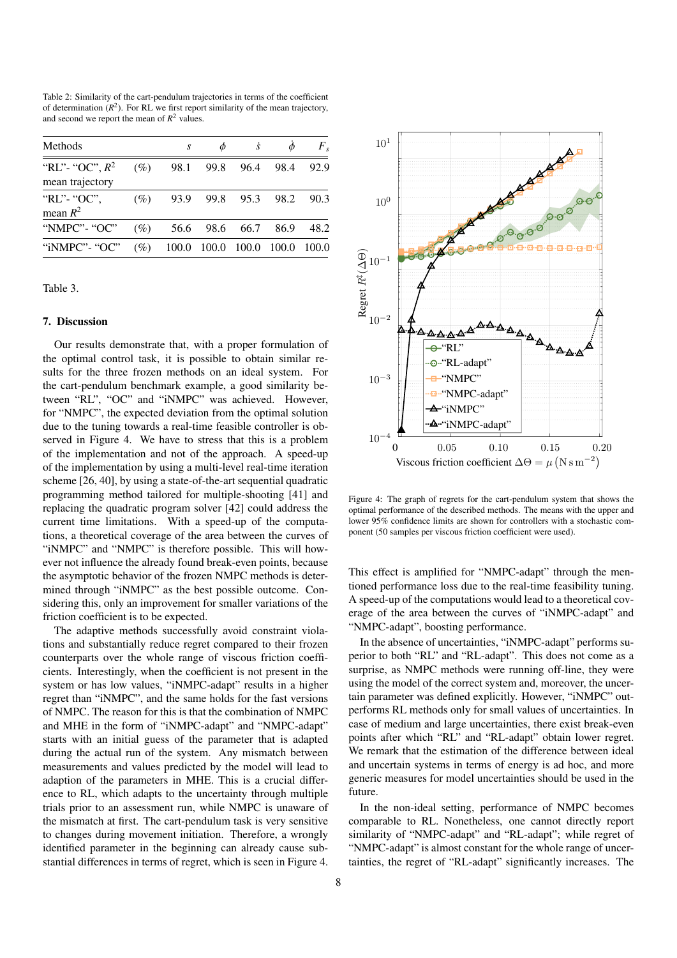Table 2: Similarity of the cart-pendulum trajectories in terms of the coefficient of determination  $(R^2)$ . For RL we first report similarity of the mean trajectory, and second we report the mean of  $R^2$  values.

| Methods                              |        | S     |       |           |       | $F_s$ |
|--------------------------------------|--------|-------|-------|-----------|-------|-------|
| "RL"- "OC", $R^2$<br>mean trajectory | (%)    | 98.1  | 99.8  | 96.4      | 98.4  | 92.9  |
| "RL"- "OC",<br>mean $R^2$            | (%)    | 93.9  |       | 99.8 95.3 | 98.2  | 90.3  |
| "NMPC"- "OC"                         | $(\%)$ | 56.6  | 98.6  | 66.7      | 86.9  | 48.2  |
| "iNMPC" - "OC"                       | (%)    | 100.0 | 100.0 | 100.0     | 100.0 | 100.0 |

Table 3.

#### 7. Discussion

Our results demonstrate that, with a proper formulation of the optimal control task, it is possible to obtain similar results for the three frozen methods on an ideal system. For the cart-pendulum benchmark example, a good similarity between "RL", "OC" and "iNMPC" was achieved. However, for "NMPC", the expected deviation from the optimal solution due to the tuning towards a real-time feasible controller is observed in Figure 4. We have to stress that this is a problem of the implementation and not of the approach. A speed-up of the implementation by using a multi-level real-time iteration scheme [26, 40], by using a state-of-the-art sequential quadratic programming method tailored for multiple-shooting [41] and replacing the quadratic program solver [42] could address the current time limitations. With a speed-up of the computations, a theoretical coverage of the area between the curves of "iNMPC" and "NMPC" is therefore possible. This will however not influence the already found break-even points, because the asymptotic behavior of the frozen NMPC methods is determined through "iNMPC" as the best possible outcome. Considering this, only an improvement for smaller variations of the friction coefficient is to be expected.

The adaptive methods successfully avoid constraint violations and substantially reduce regret compared to their frozen counterparts over the whole range of viscous friction coefficients. Interestingly, when the coefficient is not present in the system or has low values, "iNMPC-adapt" results in a higher regret than "iNMPC", and the same holds for the fast versions of NMPC. The reason for this is that the combination of NMPC and MHE in the form of "iNMPC-adapt" and "NMPC-adapt" starts with an initial guess of the parameter that is adapted during the actual run of the system. Any mismatch between measurements and values predicted by the model will lead to adaption of the parameters in MHE. This is a crucial difference to RL, which adapts to the uncertainty through multiple trials prior to an assessment run, while NMPC is unaware of the mismatch at first. The cart-pendulum task is very sensitive to changes during movement initiation. Therefore, a wrongly identified parameter in the beginning can already cause substantial differences in terms of regret, which is seen in Figure 4.



Figure 4: The graph of regrets for the cart-pendulum system that shows the optimal performance of the described methods. The means with the upper and lower 95% confidence limits are shown for controllers with a stochastic component (50 samples per viscous friction coefficient were used).

This effect is amplified for "NMPC-adapt" through the mentioned performance loss due to the real-time feasibility tuning. A speed-up of the computations would lead to a theoretical coverage of the area between the curves of "iNMPC-adapt" and "NMPC-adapt", boosting performance.

In the absence of uncertainties, "iNMPC-adapt" performs superior to both "RL" and "RL-adapt". This does not come as a surprise, as NMPC methods were running off-line, they were using the model of the correct system and, moreover, the uncertain parameter was defined explicitly. However, "iNMPC" outperforms RL methods only for small values of uncertainties. In case of medium and large uncertainties, there exist break-even points after which "RL" and "RL-adapt" obtain lower regret. We remark that the estimation of the difference between ideal and uncertain systems in terms of energy is ad hoc, and more generic measures for model uncertainties should be used in the future.

In the non-ideal setting, performance of NMPC becomes comparable to RL. Nonetheless, one cannot directly report similarity of "NMPC-adapt" and "RL-adapt"; while regret of "NMPC-adapt" is almost constant for the whole range of uncertainties, the regret of "RL-adapt" significantly increases. The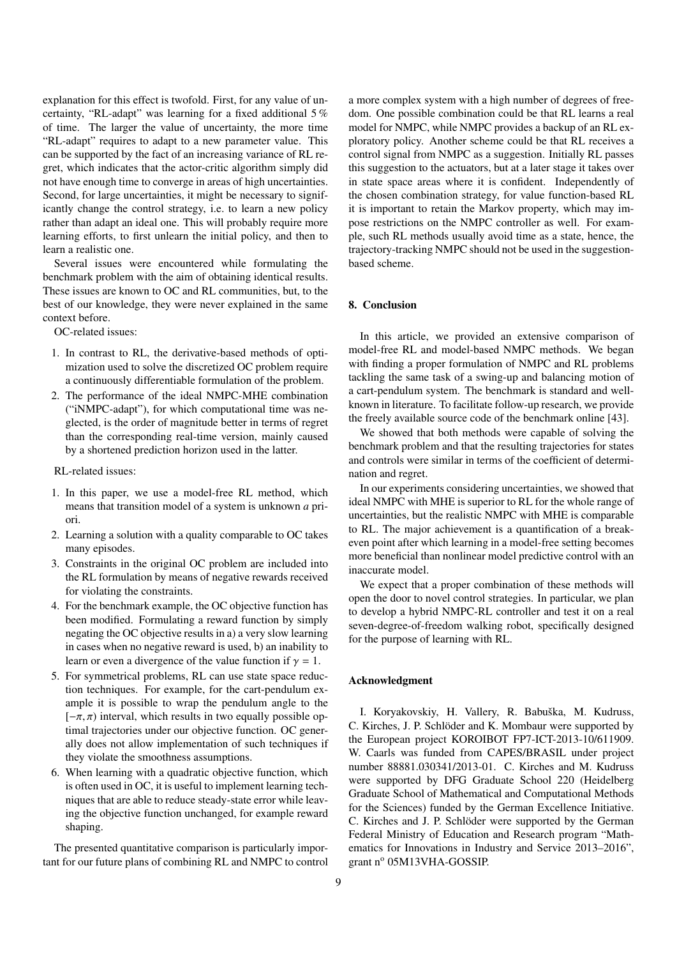explanation for this effect is twofold. First, for any value of uncertainty, "RL-adapt" was learning for a fixed additional 5 % of time. The larger the value of uncertainty, the more time "RL-adapt" requires to adapt to a new parameter value. This can be supported by the fact of an increasing variance of RL regret, which indicates that the actor-critic algorithm simply did not have enough time to converge in areas of high uncertainties. Second, for large uncertainties, it might be necessary to significantly change the control strategy, i.e. to learn a new policy rather than adapt an ideal one. This will probably require more learning efforts, to first unlearn the initial policy, and then to learn a realistic one.

Several issues were encountered while formulating the benchmark problem with the aim of obtaining identical results. These issues are known to OC and RL communities, but, to the best of our knowledge, they were never explained in the same context before.

OC-related issues:

- 1. In contrast to RL, the derivative-based methods of optimization used to solve the discretized OC problem require a continuously differentiable formulation of the problem.
- 2. The performance of the ideal NMPC-MHE combination ("iNMPC-adapt"), for which computational time was neglected, is the order of magnitude better in terms of regret than the corresponding real-time version, mainly caused by a shortened prediction horizon used in the latter.

#### RL-related issues:

- 1. In this paper, we use a model-free RL method, which means that transition model of a system is unknown *a* priori.
- 2. Learning a solution with a quality comparable to OC takes many episodes.
- 3. Constraints in the original OC problem are included into the RL formulation by means of negative rewards received for violating the constraints.
- 4. For the benchmark example, the OC objective function has been modified. Formulating a reward function by simply negating the OC objective results in a) a very slow learning in cases when no negative reward is used, b) an inability to learn or even a divergence of the value function if  $\gamma = 1$ .
- 5. For symmetrical problems, RL can use state space reduction techniques. For example, for the cart-pendulum example it is possible to wrap the pendulum angle to the  $[-\pi, \pi)$  interval, which results in two equally possible optimal trajectories under our objective function. OC generally does not allow implementation of such techniques if they violate the smoothness assumptions.
- 6. When learning with a quadratic objective function, which is often used in OC, it is useful to implement learning techniques that are able to reduce steady-state error while leaving the objective function unchanged, for example reward shaping.

The presented quantitative comparison is particularly important for our future plans of combining RL and NMPC to control

a more complex system with a high number of degrees of freedom. One possible combination could be that RL learns a real model for NMPC, while NMPC provides a backup of an RL exploratory policy. Another scheme could be that RL receives a control signal from NMPC as a suggestion. Initially RL passes this suggestion to the actuators, but at a later stage it takes over in state space areas where it is confident. Independently of the chosen combination strategy, for value function-based RL it is important to retain the Markov property, which may impose restrictions on the NMPC controller as well. For example, such RL methods usually avoid time as a state, hence, the trajectory-tracking NMPC should not be used in the suggestionbased scheme.

## 8. Conclusion

In this article, we provided an extensive comparison of model-free RL and model-based NMPC methods. We began with finding a proper formulation of NMPC and RL problems tackling the same task of a swing-up and balancing motion of a cart-pendulum system. The benchmark is standard and wellknown in literature. To facilitate follow-up research, we provide the freely available source code of the benchmark online [43].

We showed that both methods were capable of solving the benchmark problem and that the resulting trajectories for states and controls were similar in terms of the coefficient of determination and regret.

In our experiments considering uncertainties, we showed that ideal NMPC with MHE is superior to RL for the whole range of uncertainties, but the realistic NMPC with MHE is comparable to RL. The major achievement is a quantification of a breakeven point after which learning in a model-free setting becomes more beneficial than nonlinear model predictive control with an inaccurate model.

We expect that a proper combination of these methods will open the door to novel control strategies. In particular, we plan to develop a hybrid NMPC-RL controller and test it on a real seven-degree-of-freedom walking robot, specifically designed for the purpose of learning with RL.

#### Acknowledgment

I. Koryakovskiy, H. Vallery, R. Babuška, M. Kudruss, C. Kirches, J. P. Schlöder and K. Mombaur were supported by the European project KOROIBOT FP7-ICT-2013-10/611909. W. Caarls was funded from CAPES/BRASIL under project number 88881.030341/2013-01. C. Kirches and M. Kudruss were supported by DFG Graduate School 220 (Heidelberg Graduate School of Mathematical and Computational Methods for the Sciences) funded by the German Excellence Initiative. C. Kirches and J. P. Schlöder were supported by the German Federal Ministry of Education and Research program "Mathematics for Innovations in Industry and Service 2013–2016", grant nº 05M13VHA-GOSSIP.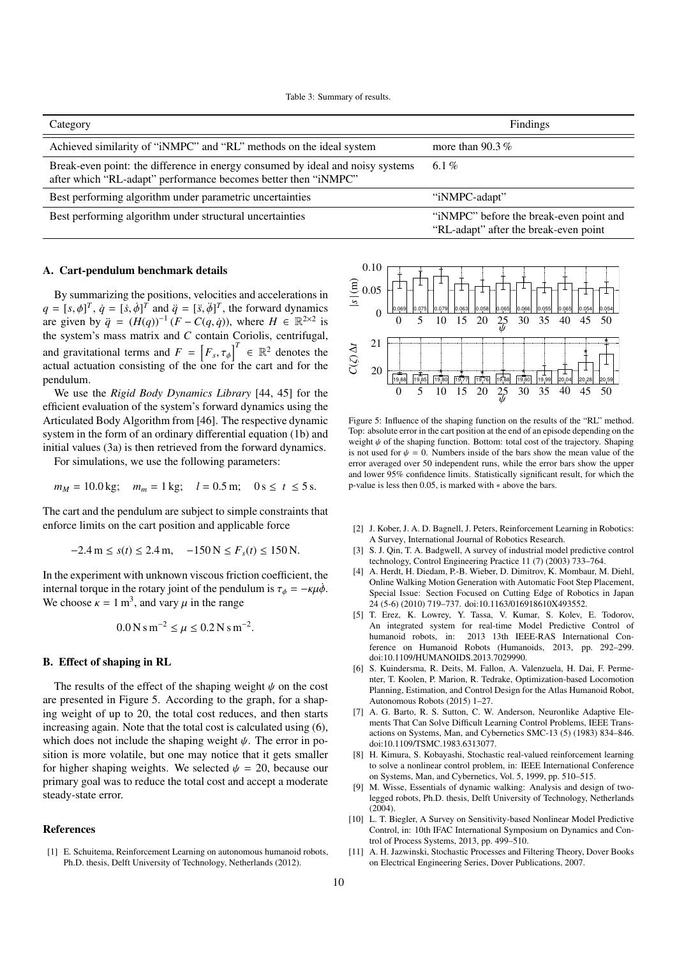Table 3: Summary of results.

| Category                                                                                                                                         | Findings                                                                         |
|--------------------------------------------------------------------------------------------------------------------------------------------------|----------------------------------------------------------------------------------|
| Achieved similarity of "iNMPC" and "RL" methods on the ideal system                                                                              | more than 90.3 $%$                                                               |
| Break-even point: the difference in energy consumed by ideal and noisy systems<br>after which "RL-adapt" performance becomes better then "iNMPC" | 6.1%                                                                             |
| Best performing algorithm under parametric uncertainties                                                                                         | "iNMPC-adapt"                                                                    |
| Best performing algorithm under structural uncertainties                                                                                         | "iNMPC" before the break-even point and<br>"RL-adapt" after the break-even point |

#### A. Cart-pendulum benchmark details

By summarizing the positions, velocities and accelerations in  $q = [s, \phi]^T$ ,  $\dot{q} = [\dot{s}, \dot{\phi}]^T$  and  $\ddot{q} = [\ddot{s}, \ddot{\phi}]^T$ , the forward dynamics<br>are given by  $\ddot{q} = (H(a))^{-1} (F - C(a, \dot{q}))$  where  $H \in \mathbb{R}^{2 \times 2}$  is are given by  $\ddot{q} = (H(q))^{-1} (F - C(q, \dot{q}))$ , where  $H \in \mathbb{R}^{2 \times 2}$  is<br>the system's mass matrix and *C* contain Coriolis centrifugal the system's mass matrix and *C* contain Coriolis, centrifugal, and gravitational terms and  $F = [F_s, \tau_{\phi}]$ <br>actual actuation consisting of the one for  $\overline{I}^T \in \mathbb{R}^2$  denotes the actual actuation consisting of the one for the cart and for the pendulum.

We use the *Rigid Body Dynamics Library* [44, 45] for the efficient evaluation of the system's forward dynamics using the Articulated Body Algorithm from [46]. The respective dynamic system in the form of an ordinary differential equation (1b) and initial values (3a) is then retrieved from the forward dynamics.

For simulations, we use the following parameters:

$$
m_M = 10.0 \text{ kg}; \quad m_m = 1 \text{ kg}; \quad l = 0.5 \text{ m}; \quad 0 \text{ s} \le t \le 5 \text{ s}.
$$

The cart and the pendulum are subject to simple constraints that enforce limits on the cart position and applicable force

$$
-2.4 \text{ m} \le s(t) \le 2.4 \text{ m}, \quad -150 \text{ N} \le F_s(t) \le 150 \text{ N}.
$$

In the experiment with unknown viscous friction coefficient, the internal torque in the rotary joint of the pendulum is  $\tau_{\phi} = -\kappa \mu \dot{\phi}$ . We choose  $\kappa = 1 \text{ m}^3$ , and vary  $\mu$  in the range

$$
0.0\,\mathrm{N}\,\mathrm{s}\,\mathrm{m}^{-2} \leq \mu \leq 0.2\,\mathrm{N}\,\mathrm{s}\,\mathrm{m}^{-2}.
$$

#### B. Effect of shaping in RL

The results of the effect of the shaping weight  $\psi$  on the cost are presented in Figure 5. According to the graph, for a shaping weight of up to 20, the total cost reduces, and then starts increasing again. Note that the total cost is calculated using (6), which does not include the shaping weight  $\psi$ . The error in position is more volatile, but one may notice that it gets smaller for higher shaping weights. We selected  $\psi = 20$ , because our primary goal was to reduce the total cost and accept a moderate steady-state error.

#### References

[1] E. Schuitema, Reinforcement Learning on autonomous humanoid robots, Ph.D. thesis, Delft University of Technology, Netherlands (2012).



Figure 5: Influence of the shaping function on the results of the "RL" method. Top: absolute error in the cart position at the end of an episode depending on the weight  $\psi$  of the shaping function. Bottom: total cost of the trajectory. Shaping is not used for  $\psi = 0$ . Numbers inside of the bars show the mean value of the error averaged over 50 independent runs, while the error bars show the upper and lower 95% confidence limits. Statistically significant result, for which the p-value is less then <sup>0</sup>.05, is marked with <sup>∗</sup> above the bars.

- [2] J. Kober, J. A. D. Bagnell, J. Peters, Reinforcement Learning in Robotics: A Survey, International Journal of Robotics Research.
- [3] S. J. Qin, T. A. Badgwell, A survey of industrial model predictive control technology, Control Engineering Practice 11 (7) (2003) 733–764.
- [4] A. Herdt, H. Diedam, P.-B. Wieber, D. Dimitrov, K. Mombaur, M. Diehl, Online Walking Motion Generation with Automatic Foot Step Placement, Special Issue: Section Focused on Cutting Edge of Robotics in Japan 24 (5-6) (2010) 719–737. doi:10.1163/016918610X493552.
- [5] T. Erez, K. Lowrey, Y. Tassa, V. Kumar, S. Kolev, E. Todorov, An integrated system for real-time Model Predictive Control of humanoid robots, in: 2013 13th IEEE-RAS International Conference on Humanoid Robots (Humanoids, 2013, pp. 292–299. doi:10.1109/HUMANOIDS.2013.7029990.
- [6] S. Kuindersma, R. Deits, M. Fallon, A. Valenzuela, H. Dai, F. Permenter, T. Koolen, P. Marion, R. Tedrake, Optimization-based Locomotion Planning, Estimation, and Control Design for the Atlas Humanoid Robot, Autonomous Robots (2015) 1–27.
- [7] A. G. Barto, R. S. Sutton, C. W. Anderson, Neuronlike Adaptive Elements That Can Solve Difficult Learning Control Problems, IEEE Transactions on Systems, Man, and Cybernetics SMC-13 (5) (1983) 834–846. doi:10.1109/TSMC.1983.6313077.
- [8] H. Kimura, S. Kobayashi, Stochastic real-valued reinforcement learning to solve a nonlinear control problem, in: IEEE International Conference on Systems, Man, and Cybernetics, Vol. 5, 1999, pp. 510–515.
- [9] M. Wisse, Essentials of dynamic walking: Analysis and design of twolegged robots, Ph.D. thesis, Delft University of Technology, Netherlands (2004).
- [10] L. T. Biegler, A Survey on Sensitivity-based Nonlinear Model Predictive Control, in: 10th IFAC International Symposium on Dynamics and Control of Process Systems, 2013, pp. 499–510.
- [11] A. H. Jazwinski, Stochastic Processes and Filtering Theory, Dover Books on Electrical Engineering Series, Dover Publications, 2007.